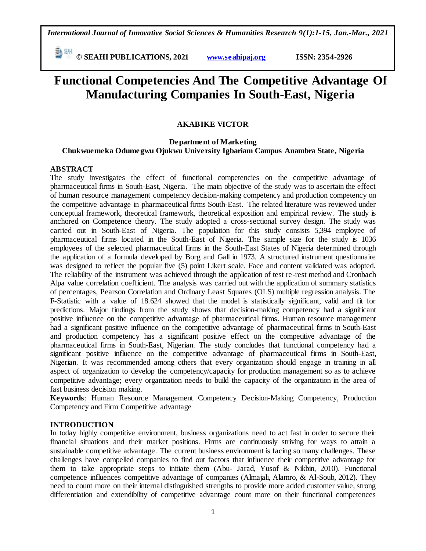*International Journal of Innovative Social Sciences & Humanities Research 9(1):1-15, Jan.-Mar., 2021*

 **© SEAHI PUBLICATIONS, 2021 [www.seahipaj.org](http://www.seahipaj.org/) ISSN: 2354-2926** 

# **Functional Competencies And The Competitive Advantage Of Manufacturing Companies In South-East, Nigeria**

## **AKABIKE VICTOR**

## **Department of Marketing Chukwuemeka Odumegwu Ojukwu University Igbariam Campus Anambra State, Nigeria**

## **ABSTRACT**

The study investigates the effect of functional competencies on the competitive advantage of pharmaceutical firms in South-East, Nigeria. The main objective of the study was to ascertain the effect of human resource management competency decision-making competency and production competency on the competitive advantage in pharmaceutical firms South-East. The related literature was reviewed under conceptual framework, theoretical framework, theoretical exposition and empirical review. The study is anchored on Competence theory. The study adopted a cross-sectional survey design. The study was carried out in South-East of Nigeria. The population for this study consists 5,394 employee of pharmaceutical firms located in the South-East of Nigeria. The sample size for the study is 1036 employees of the selected pharmaceutical firms in the South-East States of Nigeria determined through the application of a formula developed by Borg and Gall in 1973. A structured instrument questionnaire was designed to reflect the popular five (5) point Likert scale. Face and content validated was adopted. The reliability of the instrument was achieved through the application of test re-rest method and Cronbach Alpa value correlation coefficient. The analysis was carried out with the application of summary statistics of percentages, Pearson Correlation and Ordinary Least Squares (OLS) multiple regression analysis. The F-Statistic with a value of 18.624 showed that the model is statistically significant, valid and fit for predictions. Major findings from the study shows that decision-making competency had a significant positive influence on the competitive advantage of pharmaceutical firms. Human resource management had a significant positive influence on the competitive advantage of pharmaceutical firms in South-East and production competency has a significant positive effect on the competitive advantage of the pharmaceutical firms in South-East, Nigerian. The study concludes that functional competency had a significant positive influence on the competitive advantage of pharmaceutical firms in South-East, Nigerian. It was recommended among others that every organization should engage in training in all aspect of organization to develop the competency/capacity for production management so as to achieve competitive advantage; every organization needs to build the capacity of the organization in the area of fast business decision making.

**Keywords**: Human Resource Management Competency Decision-Making Competency, Production Competency and Firm Competitive advantage

## **INTRODUCTION**

In today highly competitive environment, business organizations need to act fast in order to secure their financial situations and their market positions. Firms are continuously striving for ways to attain a sustainable competitive advantage. The current business environment is facing so many challenges. These challenges have compelled companies to find out factors that influence their competitive advantage for them to take appropriate steps to initiate them (Abu- Jarad, Yusof & Nikbin, 2010). Functional competence influences competitive advantage of companies (Almajali, Alamro, & Al-Soub, 2012). They need to count more on their internal distinguished strengths to provide more added customer value, strong differentiation and extendibility of competitive advantage count more on their functional competences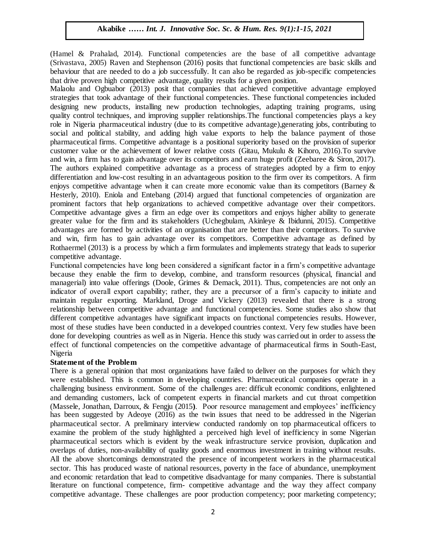(Hamel & Prahalad, 2014). Functional competencies are the base of all competitive advantage (Srivastava, 2005) Raven and Stephenson (2016) posits that functional competencies are basic skills and behaviour that are needed to do a job successfully. It can also be regarded as job-specific competencies that drive proven high competitive advantage, quality results for a given position.

Malaolu and Ogbuabor (2013) posit that companies that achieved competitive advantage employed strategies that took advantage of their functional competencies. These functional competencies included designing new products, installing new production technologies, adapting training programs, using quality control techniques, and improving supplier relationships.The functional competencies plays a key role in Nigeria pharmaceutical industry (due to its competitive advantage),generating jobs, contributing to social and political stability, and adding high value exports to help the balance payment of those pharmaceutical firms. Competitive advantage is a positional superiority based on the provision of superior customer value or the achievement of lower relative costs (Gitau, Mukulu & Kihoro, 2016).To survive and win, a firm has to gain advantage over its competitors and earn huge profit (Zeebaree & Siron, 2017). The authors explained competitive advantage as a process of strategies adopted by a firm to enjoy differentiation and low-cost resulting in an advantageous position to the firm over its competitors. A firm enjoys competitive advantage when it can create more economic value than its competitors (Barney & Hesterly, 2010). Eniola and Entebang (2014) argued that functional competencies of organization are prominent factors that help organizations to achieved competitive advantage over their competitors. Competitive advantage gives a firm an edge over its competitors and enjoys higher ability to generate greater value for the firm and its stakeholders (Uchegbulam, Akinleye & Ibidunni, 2015). Competitive advantages are formed by activities of an organisation that are better than their competitors. To survive and win, firm has to gain advantage over its competitors. Competitive advantage as defined by Rothaermel (2013) is a process by which a firm formulates and implements strategy that leads to superior competitive advantage.

Functional competencies have long been considered a significant factor in a firm"s competitive advantage because they enable the firm to develop, combine, and transform resources (physical, financial and Arugu & Wosu…… Int. J. Innovative Soc. Sc. & Hum. Res. 8(1):1-11, 2020managerial) into value offerings (Doole, Grimes & Demack, 2011). Thus, competencies are not only an indicator of overall export capability; rather, they are a precursor of a firm"s capacity to initiate and maintain regular exporting. Markland, Droge and Vickery (2013) revealed that there is a strong relationship between competitive advantage and functional competencies. Some studies also show that different competitive advantages have significant impacts on functional competencies results. However, most of these studies have been conducted in a developed countries context. Very few studies have been done for developing countries as well as in Nigeria. Hence this study was carried out in order to assess the effect of functional competencies on the competitive advantage of pharmaceutical firms in South-East, Nigeria

## **Statement of the Problem**

There is a general opinion that most organizations have failed to deliver on the purposes for which they were established. This is common in developing countries. Pharmaceutical companies operate in a challenging business environment. Some of the challenges are: difficult economic conditions, enlightened and demanding customers, lack of competent experts in financial markets and cut throat competition (Massele, Jonathan, Darroux, & Fengju (2015**)**. Poor resource management and employees" inefficiency has been suggested by Adeoye (2016) as the twin issues that need to be addressed in the Nigerian pharmaceutical sector. A preliminary interview conducted randomly on top pharmaceutical officers to examine the problem of the study highlighted a perceived high level of inefficiency in some Nigerian pharmaceutical sectors which is evident by the weak infrastructure service provision, duplication and overlaps of duties, non-availability of quality goods and enormous investment in training without results. All the above shortcomings demonstrated the presence of incompetent workers in the pharmaceutical sector. This has produced waste of national resources, poverty in the face of abundance, unemployment and economic retardation that lead to competitive disadvantage for many companies. There is substantial literature on functional competence, firm- competitive advantage and the way they affect company competitive advantage. These challenges are poor production competency; poor marketing competency;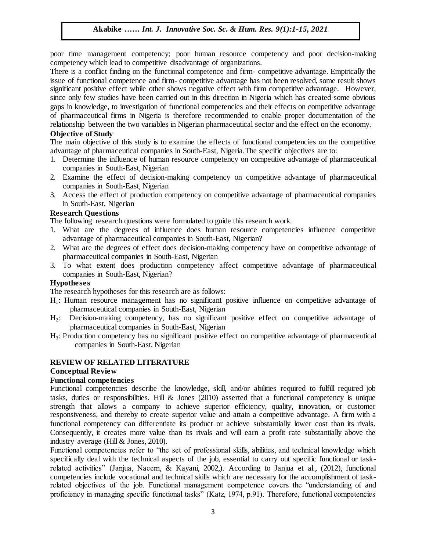poor time management competency; poor human resource competency and poor decision-making competency which lead to competitive disadvantage of organizations.

There is a conflict finding on the functional competence and firm- competitive advantage. Empirically the issue of functional competence and firm- competitive advantage has not been resolved, some result shows significant positive effect while other shows negative effect with firm competitive advantage. However, since only few studies have been carried out in this direction in Nigeria which has created some obvious gaps in knowledge, to investigation of functional competencies and their effects on competitive advantage of pharmaceutical firms in Nigeria is therefore recommended to enable proper documentation of the relationship between the two variables in Nigerian pharmaceutical sector and the effect on the economy.

## **Objective of Study**

The main objective of this study is to examine the effects of functional competencies on the competitive advantage of pharmaceutical companies in South-East, Nigeria.The specific objectives are to: Arrugue of Study and Woster Study Soc. Sc. Army Int. J. Innovative Soc. 8(1):1-11, 2020

- 1. Determine the influence of human resource competency on competitive advantage of pharmaceutical companies in South-East, Nigerian Arugu South-East, Nigerian<br>Architecture Soc. Sc. 8(1):1-11, 2020
- 2. Examine the effect of decision-making competency on competitive advantage of pharmaceutical companies in South-East, Nigerian
- 3. Access the effect of production competency on competitive advantage of pharmaceutical companies in South-East, Nigerian

## **Research Questions**

The following research questions were formulated to guide this research work.

- 1. What are the degrees of influence does human resource competencies influence competitive advantage of pharmaceutical companies in South-East, Nigerian?
- advailage of pharmaceutical companies in South-East, Nigerian?<br>2. What are the degrees of effect does decision-making competency have on competitive advantage of pharmaceutical companies in South-East, Nigerian
- 3. To what extent does production competency affect competitive advantage of pharmaceutical companies in South-East, Nigerian?

## **Hypotheses**

The research hypotheses for this research are as follows:

- H1: Human resource management has no significant positive influence on competitive advantage of pharmaceutical companies in South-East, Nigerian
- H2: Decision-making competency, has no significant positive effect on competitive advantage of pharmaceutical companies in South-East, Nigerian
- H3: Production competency has no significant positive effect on competitive advantage of pharmaceutical companies in South-East, Nigerian

## **REVIEW OF RELATED LITERATURE**

## **Conceptual Review**

## **Functional competencies**

Functional competencies describe the knowledge, skill, and/or abilities required to fulfill required job tasks, duties or responsibilities. Hill & Jones (2010) asserted that a functional competency is unique strength that allows a company to achieve superior efficiency, quality, innovation, or customer responsiveness, and thereby to create superior value and attain a competitive advantage. A firm with a functional competency can differentiate its product or achieve substantially lower cost than its rivals. Consequently, it creates more value than its rivals and will earn a profit rate substantially above the industry average (Hill & Jones, 2010).

Functional competencies refer to "the set of professional skills, abilities, and technical knowledge which specifically deal with the technical aspects of the job, essential to carry out specific functional or taskrelated activities" (Janjua, Naeem, & Kayani, 2002,). According to Janjua et al., (2012), functional competencies include vocational and technical skills which are necessary for the accomplishment of taskrelated objectives of the job. Functional management competence covers the "understanding of and proficiency in managing specific functional tasks" (Katz, 1974, p.91). Therefore, functional competencies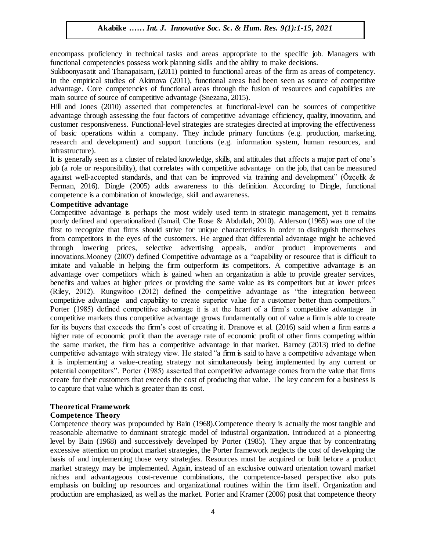encompass proficiency in technical tasks and areas appropriate to the specific job. Managers with functional competencies possess work planning skills and the ability to make decisions.

Sukboonyasatit and Thanapaisarn, (2011) pointed to functional areas of the firm as areas of competency. In the empirical studies of Akimova (2011), functional areas had been seen as source of competitive advantage. Core competencies of functional areas through the fusion of resources and capabilities are main source of source of competitive advantage (Snezana, 2015).

Hill and Jones (2010) asserted that competencies at functional-level can be sources of competitive advantage through assessing the four factors of competitive advantage efficiency, quality, innovation, and customer responsiveness. Functional-level strategies are strategies directed at improving the effectiveness of basic operations within a company. They include primary functions (e.g. production, marketing, research and development) and support functions (e.g. information system, human resources, and infrastructure).

It is generally seen as a cluster of related knowledge, skills, and attitudes that affects a major part of one"s job (a role or responsibility), that correlates with competitive advantage on the job, that can be measured against well-accepted standards, and that can be improved via training and development" (Özcelik  $\&$ Ferman, 2016). Dingle (2005) adds awareness to this definition. According to Dingle, functional competence is a combination of knowledge, skill and awareness.

#### **Competitive advantage**

Competitive advantage is perhaps the most widely used term in strategic management, yet it remains poorly defined and operationalized (Ismail, Che Rose & Abdullah, 2010). Alderson (1965) was one of the first to recognize that firms should strive for unique characteristics in order to distinguish themselves from competitors in the eyes of the customers. He argued that differential advantage might be achieved through lowering prices, selective advertising appeals, and/or product improvements and innovations.Mooney (2007) defined Competitive advantage as a "capability or resource that is difficult to imitate and valuable in helping the firm outperform its competitors. A competitive advantage is an advantage over competitors which is gained when an organization is able to provide greater services, benefits and values at higher prices or providing the same value as its competitors but at lower prices (Riley, 2012). Rungwitoo (2012) defined the competitive advantage as "the integration between competitive advantage and capability to create superior value for a customer better than competitors." Porter (1985) defined competitive advantage it is at the heart of a firm's competitive advantage in competitive markets thus competitive advantage grows fundamentally out of value a firm is able to create for its buyers that exceeds the firm"s cost of creating it. Dranove et al. (2016) said when a firm earns a higher rate of economic profit than the average rate of economic profit of other firms competing within the same market, the firm has a competitive advantage in that market. Barney (2013) tried to define competitive advantage with strategy view. He stated "a firm is said to have a competitive advantage when it is implementing a value-creating strategy not simultaneously being implemented by any current or potential competitors". Porter (1985) asserted that competitive advantage comes from the value that firms create for their customers that exceeds the cost of producing that value. The key concern for a business is to capture that value which is greater than its cost. e titive advantage entry soc. Sc. Box 3. Innovative Soc. Sc. 8(1):1-11, 2021

#### **Theoretical Framework**

#### **Competence Theory**

Competence theory was propounded by Bain (1968).Competence theory is actually the most tangible and reasonable alternative to dominant strategic model of industrial organization. Introduced at a pioneering level by Bain (1968) and successively developed by Porter (1985). They argue that by concentrating excessive attention on product market strategies, the Porter framework neglects the cost of developing the basis of and implementing those very strategies. Resources must be acquired or built before a product market strategy may be implemented. Again, instead of an exclusive outward orientation toward market niches and advantageous cost-revenue combinations, the competence-based perspective also puts emphasis on building up resources and organizational routines within the firm itself. Organization and production are emphasized, as well as the market. Porter and Kramer (2006) posit that competence theory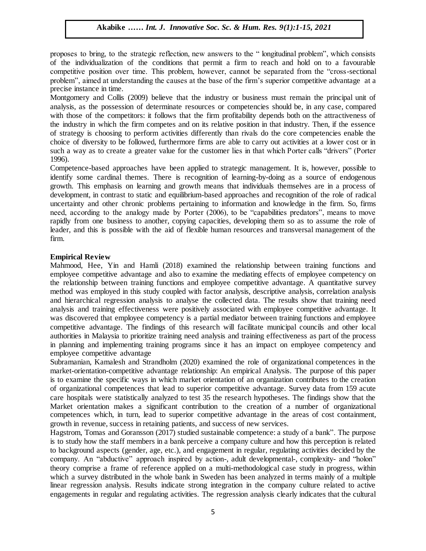proposes to bring, to the strategic reflection, new answers to the " longitudinal problem", which consists of the individualization of the conditions that permit a firm to reach and hold on to a favourable competitive position over time. This problem, however, cannot be separated from the "cross-sectional problem", aimed at understanding the causes at the base of the firm"s superior competitive advantage at a precise instance in time.

Montgomery and Collis (2009) believe that the industry or business must remain the principal unit of analysis, as the possession of determinate resources or competencies should be, in any case, compared with those of the competitors: it follows that the firm profitability depends both on the attractiveness of the industry in which the firm competes and on its relative position in that industry. Then, if the essence of strategy is choosing to perform activities differently than rivals do the core competencies enable the choice of diversity to be followed, furthermore firms are able to carry out activities at a lower cost or in such a way as to create a greater value for the customer lies in that which Porter calls "drivers" (Porter 1996).

Competence-based approaches have been applied to strategic management. It is, however, possible to identify some cardinal themes. There is recognition of learning-by-doing as a source of endogenous growth. This emphasis on learning and growth means that individuals themselves are in a process of development, in contrast to static and equilibrium-based approaches and recognition of the role of radical uncertainty and other chronic problems pertaining to information and knowledge in the firm. So, firms need, according to the analogy made by Porter (2006), to be "capabilities predators", means to move rapidly from one business to another, copying capacities, developing them so as to assume the role of leader, and this is possible with the aid of flexible human resources and transversal management of the firm.

#### **Empirical Review**

Mahmood, Hee, Yin and Hamli (2018) examined the relationship between training functions and employee competitive advantage and also to examine the mediating effects of employee competency on the relationship between training functions and employee competitive advantage. A quantitative survey method was employed in this study coupled with factor analysis, descriptive analysis, correlation analysis and hierarchical regression analysis to analyse the collected data. The results show that training need analysis and training effectiveness were positively associated with employee competitive advantage. It was discovered that employee competency is a partial mediator between training functions and employee competitive advantage. The findings of this research will facilitate municipal councils and other local authorities in Malaysia to prioritize training need analysis and training effectiveness as part of the process in planning and implementing training programs since it has an impact on employee competency and employee competitive advantage

Subramanian, Kamalesh and Strandholm (2020) examined the role of organizational competences in the market-orientation-competitive advantage relationship: An empirical Analysis. The purpose of this paper is to examine the specific ways in which market orientation of an organization contributes to the creation of organizational competences that lead to superior competitive advantage. Survey data from 159 acute care hospitals were statistically analyzed to test 35 the research hypotheses. The findings show that the Market orientation makes a significant contribution to the creation of a number of organizational competences which, in turn, lead to superior competitive advantage in the areas of cost containment, growth in revenue, success in retaining patients, and success of new services.

Hagstrom, Tomas and Goransson (2017) studied sustainable competence: a study of a bank". The purpose is to study how the staff members in a bank perceive a company culture and how this perception is related to background aspects (gender, age, etc.), and engagement in regular, regulating activities decided by the company. An "abductive" approach inspired by action-, adult developmental-, complexity- and "holon" theory comprise a frame of reference applied on a multi-methodological case study in progress, within which a survey distributed in the whole bank in Sweden has been analyzed in terms mainly of a multiple linear regression analysis. Results indicate strong integration in the company culture related to active engagements in regular and regulating activities. The regression analysis clearly indicates that the cultural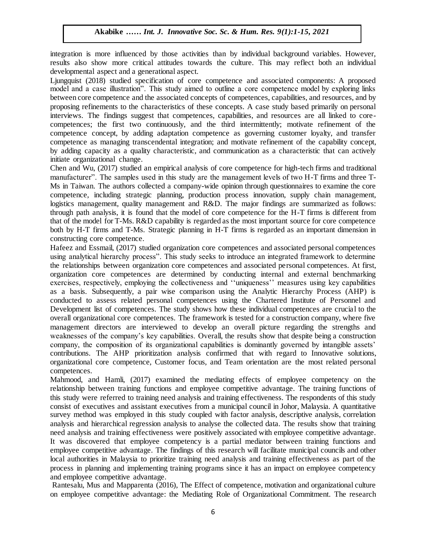integration is more influenced by those activities than by individual background variables. However, results also show more critical attitudes towards the culture. This may reflect both an individual developmental espect and a concentional espect. developmental aspect and a generational aspect.

Ljungquist (2018) studied specification of core competence and associated components: A proposed model and a case illustration". This study aimed to outline a core competence model by exploring links between core competence and the associated concepts of competences, capabilities, and resources, and by proposing refinements to the characteristics of these concepts. A case study based primarily on personal proposing refinements to the characteristics of these concepts. A case study based primarily on personal interviews. The findings suggest that competences, capabilities, and resources are all linked to corecompetences; the first two continuously, and the third intermittently; motivate refinement of the competence concept, by adding adaptation competence as governing customer loyalty, and transfer competence concept, by dataly diaptation competence as governing castomer loyalty, and dataster competence as managing transcendental integration; and motivate refinement of the capability concept, by adding capacity as a quality characteristic, and communication as a characteristic that can actively initiate organizational change.

Chen and Wu, (2017) studied an empirical analysis of core competence for high-tech firms and traditional manufacturer". The samples used in this study are the management levels of two H-T firms and three T-<br>Manufacturer". The samples used in this study are the management levels of two H-T firms and three T-Ms in Taiwan. The authors collected a company-wide opinion through questionnaires to examine the core competence, including strategic planning, production process innovation, supply chain management, logistics management, quality management and R&D. The major findings are summarized as follows: through path analysis, it is found that the model of core competence for the H-T firms is different from that of the model for T-Ms. R&D capability is regarded as the most important source for core competence both by H-T firms and T-Ms. Strategic planning in H-T firms is regarded as an important dimension in constructing core competence.

Hafeez and Essmail, (2017) studied organization core competences and associated personal competences using analytical hierarchy process". This study seeks to introduce an integrated framework to determine the relationships between organization core competences and associated personal competences. At first, organization core competences are determined by conducting internal and external benchmarking exercises, respectively, employing the collectiveness and "uniqueness" measures using key capabilities as a basis. Subsequently, a pair wise comparison using the Analytic Hierarchy Process (AHP) is conducted to assess related personal competences using the Chartered Institute of Personnel and Development list of competences. The study shows how these individual competences are crucial to the overall organizational core competences. The framework is tested for a construction company, where five management directors are interviewed to develop an overall picture regarding the strengths and weaknesses of the company"s key capabilities. Overall, the results show that despite being a construction company, the composition of its organizational capabilities is dominantly governed by intangible assets' contributions. The AHP prioritization analysis confirmed that with regard to Innovative solutions, organizational core competence, Customer focus, and Team orientation are the most related personal competences.

Mahmood, and Hamli, (2017) examined the mediating effects of employee competency on the relationship between training functions and employee competitive advantage. The training functions of this study were referred to training need analysis and training effectiveness. The respondents of this study consist of executives and assistant executives from a municipal council in Johor, Malaysia. A quantitative survey method was employed in this study coupled with factor analysis, descriptive analysis, correlation analysis and hierarchical regression analysis to analyse the collected data. The results show that training need analysis and training effectiveness were positively associated with employee competitive advantage. It was discovered that employee competency is a partial mediator between training functions and employee competitive advantage. The findings of this research will facilitate municipal councils and other local authorities in Malaysia to prioritize training need analysis and training effectiveness as part of the process in planning and implementing training programs since it has an impact on employee competency and employee competitive advantage.

Rantesalu, Mus and Mapparenta (2016), The Effect of competence, motivation and organizational culture on employee competitive advantage: the Mediating Role of Organizational Commitment. The research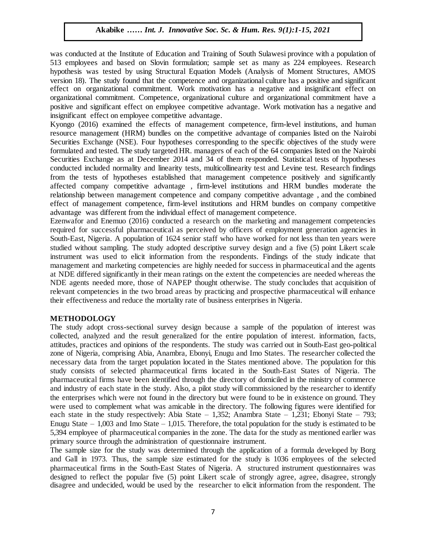was conducted at the Institute of Education and Training of South Sulawesi province with a population of 513 employees and based on Slovin formulation; sample set as many as 224 employees. Research hypothesis was tested by using Structural Equation Models (Analysis of Moment Structures, AMOS version 18). The study found that the competence and organizational culture has a positive and significant effect on organizational commitment. Work motivation has a negative and insignificant effect on organizational commitment. Competence, organizational culture and organizational commitment have a positive and significant effect on employee competitive advantage. Work motivation has a negative and insignificant effect on employee competitive advantage.

Kyongo (2016) examined the effects of management competence, firm-level institutions, and human resource management (HRM) bundles on the competitive advantage of companies listed on the Nairobi Securities Exchange (NSE). Four hypotheses corresponding to the specific objectives of the study were formulated and tested. The study targeted HR. managers of each of the 64 companies listed on the Nairobi Securities Exchange as at December 2014 and 34 of them responded. Statistical tests of hypotheses conducted included normality and linearity tests, multicollinearity test and Levine test. Research findings from the tests of hypotheses established that management competence positively and significantly affected company competitive advantage , firm-level institutions and HRM bundles moderate the relationship between management competence and company competitive advantage , and the combined effect of management competence, firm-level institutions and HRM bundles on company competitive effect of management competence, firm-lever institutions and FIKM bundles<br>advantage was different from the individual effect of management competence.

Ezenwafor and Enemuo (2016) conducted a research on the marketing and management competencies required for successful pharmaceutical as perceived by officers of employment generation agencies in South-East, Nigeria. A population of 1624 senior staff who have worked for not less than ten years were South-East, ingeria. A population of 1024 senior start who have worked to not less than ten years were studied without sampling. The study adopted descriptive survey design and a five (5) point Likert scale instrument was used to elicit information from the respondents. Findings of the study indicate that management and marketing competencies are highly needed for success in pharmaceutical and the agents at NDE differed significantly in their mean ratings on the extent the competencies are needed whereas the at NDE untered significantly in their filed fracings on the extent the competencies are needed whereas the<br>NDE agents needed more, those of NAPEP thought otherwise. The study concludes that acquisition of relevant competencies in the two broad areas by practicing and prospective pharmaceutical will enhance their effectiveness and reduce the mortality rate of business enterprises in Nigeria.

#### **METHODOLOGY**

The study adopt cross-sectional survey design because a sample of the population of interest was collected, analyzed and the result generalized for the entire population of interest. information, facts, attitudes, practices and opinions of the respondents. The study was carried out in South-East geo-political zone of Nigeria, comprising Abia, Anambra, Ebonyi, Enugu and Imo States. The researcher collected the necessary data from the target population located in the States mentioned above. The population for this study consists of selected pharmaceutical firms located in the South-East States of Nigeria. The pharmaceutical firms have been identified through the directory of domiciled in the ministry of commerce and industry of each state in the study. Also, a pilot study will commissioned by the researcher to identify the enterprises which were not found in the directory but were found to be in existence on ground. They were used to complement what was amicable in the directory. The following figures were identified for each state in the study respectively: Abia State  $-1,352$ ; Anambra State  $-1,231$ ; Ebonyi State  $-793$ ; Enugu State – 1,003 and Imo State – 1,015. Therefore, the total population for the study is estimated to be 5,394 employee of pharmaceutical companies in the zone. The data for the study as mentioned earlier was primary source through the administration of questionnaire instrument.

The sample size for the study was determined through the application of a formula developed by Borg and Gall in 1973. Thus, the sample size estimated for the study is 1036 employees of the selected pharmaceutical firms in the South-East States of Nigeria. A structured instrument questionnaires was designed to reflect the popular five (5) point Likert scale of strongly agree, agree, disagree, strongly disagree and undecided, would be used by the researcher to elicit information from the respondent. The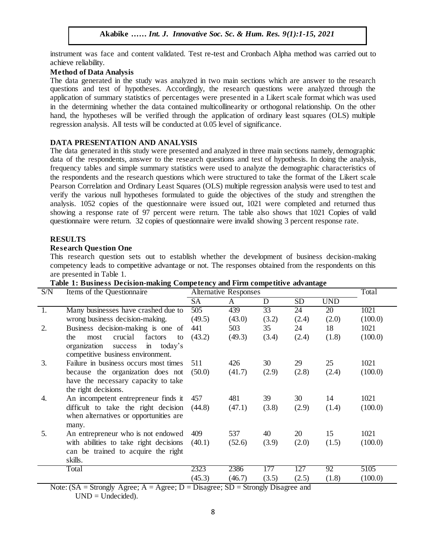instrument was face and content validated. Test re-test and Cronbach Alpha method was carried out to achieve reliability.

## **Method of Data Analysis**

The data generated in the study was analyzed in two main sections which are answer to the research questions and test of hypotheses. Accordingly, the research questions were analyzed through the application of summary statistics of percentages were presented in a Likert scale format which was used in the determining whether the data contained multicollinearity or orthogonal relationship. On the other hand, the hypotheses will be verified through the application of ordinary least squares (OLS) multiple regression analysis. All tests will be conducted at 0.05 level of significance.

## **DATA PRESENTATION AND ANALYSIS**

The data generated in this study were presented and analyzed in three main sections namely, demographic data of the respondents, answer to the research questions and test of hypothesis. In doing the analysis, frequency tables and simple summary statistics were used to analyze the demographic characteristics of the respondents and the research questions which were structured to take the format of the Likert scale Pearson Correlation and Ordinary Least Squares (OLS) multiple regression analysis were used to test and verify the various null hypotheses formulated to guide the objectives of the study and strengthen the analysis. 1052 copies of the questionnaire were issued out, 1021 were completed and returned thus showing a response rate of 97 percent were return. The table also shows that 1021 Copies of valid questionnaire were return. 32 copies of questionnaire were invalid showing 3 percent response rate.

## **RESULTS**

## **Research Question One**

This research question sets out to establish whether the development of business decision-making competency leads to competitive advantage or not. The responses obtained from the respondents on this are presented in Table 1.

| S/N | Items of the Questionnaire                           | <b>Alternative Responses</b> |        |                 |           | Total      |         |
|-----|------------------------------------------------------|------------------------------|--------|-----------------|-----------|------------|---------|
|     |                                                      | <b>SA</b>                    | A      | D               | <b>SD</b> | <b>UND</b> |         |
| 1.  | Many businesses have crashed due to                  | 505                          | 439    | $\overline{33}$ | 24        | 20         | 1021    |
|     | wrong business decision-making.                      | (49.5)                       | (43.0) | (3.2)           | (2.4)     | (2.0)      | (100.0) |
| 2.  | Business decision-making is one of                   | 441                          | 503    | 35              | 24        | 18         | 1021    |
|     | crucial<br>factors<br>the<br>most<br>to              | (43.2)                       | (49.3) | (3.4)           | (2.4)     | (1.8)      | (100.0) |
|     | today's<br>organization<br>$\overline{m}$<br>success |                              |        |                 |           |            |         |
|     | competitive business environment.                    |                              |        |                 |           |            |         |
| 3.  | Failure in business occurs most times                | 511                          | 426    | 30              | 29        | 25         | 1021    |
|     | because the organization does not                    | (50.0)                       | (41.7) | (2.9)           | (2.8)     | (2.4)      | (100.0) |
|     | have the necessary capacity to take                  |                              |        |                 |           |            |         |
|     | the right decisions.                                 |                              |        |                 |           |            |         |
| 4.  | An incompetent entrepreneur finds it                 | 457                          | 481    | 39              | 30        | 14         | 1021    |
|     | difficult to take the right decision                 | (44.8)                       | (47.1) | (3.8)           | (2.9)     | (1.4)      | (100.0) |
|     | when alternatives or opportunities are               |                              |        |                 |           |            |         |
|     | many.                                                |                              |        |                 |           |            |         |
| 5.  | An entrepreneur who is not endowed                   | 409                          | 537    | 40              | 20        | 15         | 1021    |
|     | with abilities to take right decisions               | (40.1)                       | (52.6) | (3.9)           | (2.0)     | (1.5)      | (100.0) |
|     | can be trained to acquire the right                  |                              |        |                 |           |            |         |
|     | skills.                                              |                              |        |                 |           |            |         |
|     | Total                                                | 2323                         | 2386   | 177             | 127       | 92         | 5105    |
|     |                                                      | (45.3)                       | (46.7) | (3.5)           | (2.5)     | (1.8)      | (100.0) |

## Table 1: Business Decision-making Competency and Firm competitive advantage

Note:  $(SA = Strongly \text{ Agree}; A = \text{ Agree}; D = \text{Disagree}; SD = \text{Strongly Disagree}$  and  $UND = Undecided$ .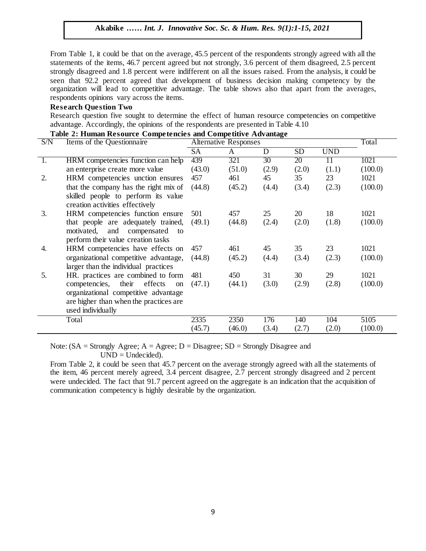From Table 1, it could be that on the average, 45.5 percent of the respondents strongly agreed with all the statements of the items, 46.7 percent agreed but not strongly, 3.6 percent of them disagreed, 2.5 percent strongly disagreed and 1.8 percent were indifferent on all the issues raised. From the analysis, it could be seen that 92.2 percent agreed that development of business decision making competency by the organization will lead to competitive advantage. The table shows also that apart from the averages, respondents opinions vary across the items.

#### **Research Question Two**

Research question five sought to determine the effect of human resource competencies on competitive advantage. Accordingly, the opinions of the respondents are presented in Table 4.10

| S/N | Table 2: Human Resource Competencies and Competitive Auvanuage<br>Items of the Questionnaire |           | <b>Alternative Responses</b> |                 |           |            |         |  |
|-----|----------------------------------------------------------------------------------------------|-----------|------------------------------|-----------------|-----------|------------|---------|--|
|     |                                                                                              | <b>SA</b> | A                            | D               | <b>SD</b> | <b>UND</b> |         |  |
| 1.  | HRM competencies function can help                                                           | 439       | 321                          | 30 <sup>2</sup> | 20        | 11         | 1021    |  |
|     | an enterprise create more value                                                              | (43.0)    | (51.0)                       | (2.9)           | (2.0)     | (1.1)      | (100.0) |  |
| 2.  | HRM competencies unction ensures                                                             | 457       | 461                          | 45              | 35        | 23         | 1021    |  |
|     | that the company has the right mix of                                                        | (44.8)    | (45.2)                       | (4.4)           | (3.4)     | (2.3)      | (100.0) |  |
|     | skilled people to perform its value                                                          |           |                              |                 |           |            |         |  |
|     | creation activities effectively                                                              |           |                              |                 |           |            |         |  |
| 3.  | HRM competencies function ensure                                                             | 501       | 457                          | 25              | 20        | 18         | 1021    |  |
|     | that people are adequately trained,                                                          | (49.1)    | (44.8)                       | (2.4)           | (2.0)     | (1.8)      | (100.0) |  |
|     | motivated, and compensated to                                                                |           |                              |                 |           |            |         |  |
|     | perform their value creation tasks                                                           |           |                              |                 |           |            |         |  |
| 4.  | HRM competencies have effects on                                                             | 457       | 461                          | 45              | 35        | 23         | 1021    |  |
|     | organizational competitive advantage,                                                        | (44.8)    | (45.2)                       | (4.4)           | (3.4)     | (2.3)      | (100.0) |  |
|     | larger than the individual practices                                                         |           |                              |                 |           |            |         |  |
| 5.  | HR. practices are combined to form                                                           | 481       | 450                          | 31              | 30        | 29         | 1021    |  |
|     | competencies, their effects<br>on                                                            | (47.1)    | (44.1)                       | (3.0)           | (2.9)     | (2.8)      | (100.0) |  |
|     | organizational competitive advantage                                                         |           |                              |                 |           |            |         |  |
|     | are higher than when the practices are                                                       |           |                              |                 |           |            |         |  |
|     | used individually                                                                            |           |                              |                 |           |            |         |  |
|     | Total                                                                                        | 2335      | 2350                         | 176             | 140       | 104        | 5105    |  |
|     |                                                                                              | (45.7)    | (46.0)                       | (3.4)           | (2.7)     | (2.0)      | (100.0) |  |

Note:  $(SA = Strongly \text{ Agree}; A = Agee; D = Disagree; SD = Strongly Disagree$  and  $UND = Undecided).$ 

From Table 2, it could be seen that 45.7 percent on the average strongly agreed with all the statements of the item, 46 percent merely agreed, 3.4 percent disagree, 2.7 percent strongly disagreed and 2 percent were undecided. The fact that 91.7 percent agreed on the aggregate is an indication that the acquisition of communication competency is highly desirable by the organization.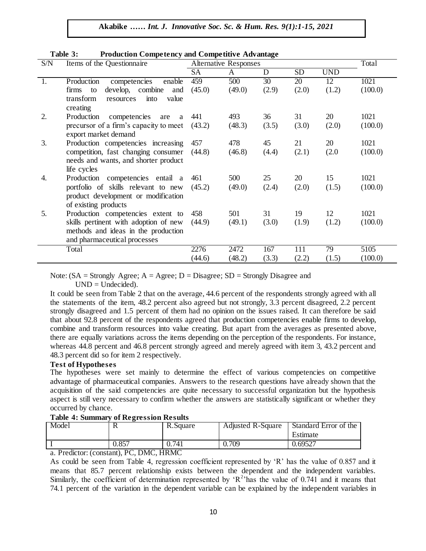| S/N | Items of the Questionnaire              | <b>Alternative Responses</b> |        |       |           |            | Total   |
|-----|-----------------------------------------|------------------------------|--------|-------|-----------|------------|---------|
|     |                                         | <b>SA</b>                    | A      | D     | <b>SD</b> | <b>UND</b> |         |
| 1.  | Production<br>competencies<br>enable    | 459                          | 500    | 30    | 20        | 12         | 1021    |
|     | develop, combine<br>firms<br>to<br>and  | (45.0)                       | (49.0) | (2.9) | (2.0)     | (1.2)      | (100.0) |
|     | transform<br>value<br>into<br>resources |                              |        |       |           |            |         |
|     | creating                                |                              |        |       |           |            |         |
| 2.  | Production<br>competencies<br>are<br>a  | 441                          | 493    | 36    | 31        | 20         | 1021    |
|     | precursor of a firm's capacity to meet  | (43.2)                       | (48.3) | (3.5) | (3.0)     | (2.0)      | (100.0) |
|     | export market demand                    |                              |        |       |           |            |         |
| 3.  | Production competencies increasing      | 457                          | 478    | 45    | 21        | 20         | 1021    |
|     | competition, fast changing consumer     | (44.8)                       | (46.8) | (4.4) | (2.1)     | (2.0)      | (100.0) |
|     | needs and wants, and shorter product    |                              |        |       |           |            |         |
|     | life cycles                             |                              |        |       |           |            |         |
| 4.  | Production competencies entail a        | 461                          | 500    | 25    | 20        | 15         | 1021    |
|     | portfolio of skills relevant to new     | (45.2)                       | (49.0) | (2.4) | (2.0)     | (1.5)      | (100.0) |
|     | product development or modification     |                              |        |       |           |            |         |
|     | of existing products                    |                              |        |       |           |            |         |
| 5.  | Production competencies extent to       | 458                          | 501    | 31    | 19        | 12         | 1021    |
|     | skills pertinent with adoption of new   | (44.9)                       | (49.1) | (3.0) | (1.9)     | (1.2)      | (100.0) |
|     | methods and ideas in the production     |                              |        |       |           |            |         |
|     | and pharmaceutical processes            |                              |        |       |           |            |         |
|     | Total                                   | 2276                         | 2472   | 167   | 111       | 79         | 5105    |
|     |                                         | (44.6)                       | (48.2) | (3.3) | (2.2)     | (1.5)      | (100.0) |

#### **Table 3: Production Competency and Competitive Advantage**

Note:  $(SA = Strongly \text{ Agree}; A = Agree; D = Disagree; SD = Strongly \text{ Disagree}$  $UND = Undecided$ .

It could be seen from Table 2 that on the average, 44.6 percent of the respondents strongly agreed with all the statements of the item, 48.2 percent also agreed but not strongly, 3.3 percent disagreed, 2.2 percent strongly disagreed and 1.5 percent of them had no opinion on the issues raised. It can therefore be said that about 92.8 percent of the respondents agreed that production competencies enable firms to develop, combine and transform resources into value creating. But apart from the averages as presented above, there are equally variations across the items depending on the perception of the respondents. For instance, whereas 44.8 percent and 46.8 percent strongly agreed and merely agreed with item 3, 43.2 percent and 48.3 percent did so for item 2 respectively.

## **Test of Hypotheses**

The hypotheses were set mainly to determine the effect of various competencies on competitive advantage of pharmaceutical companies. Answers to the research questions have already shown that the acquisition of the said competencies are quite necessary to successful organization but the hypothesis aspect is still very necessary to confirm whether the answers are statistically significant or whether they occurred by chance.

## **Table 4: Summary of Regression Results**

| Model | v     | R.Square | Adjusted R-Square | Standard Error of the<br>Estimate |
|-------|-------|----------|-------------------|-----------------------------------|
|       | 0.857 | .741     | 0.709             | 0.69527                           |

a. Predictor: (constant), PC, DMC, HRMC

As could be seen from Table 4, regression coefficient represented by "R" has the value of 0.857 and it means that 85.7 percent relationship exists between the dependent and the independent variables. Similarly, the coefficient of determination represented by ' $R^2$ 'has the value of 0.741 and it means that 74.1 percent of the variation in the dependent variable can be explained by the independent variables in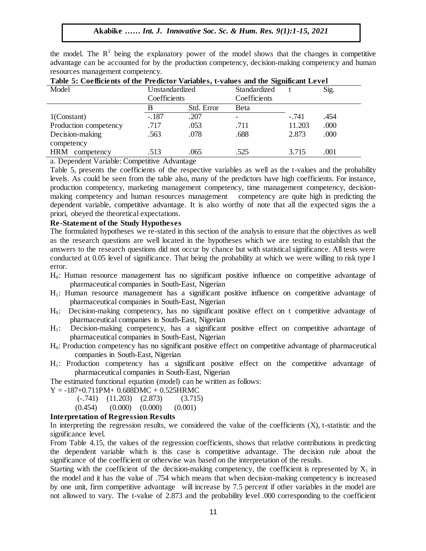the model. The  $R^2$  being the explanatory power of the model shows that the changes in competitive advantage can be accounted for by the production competency, decision-making competency and human resources management competency.

| Table 5. Coemelents of the Freuntier variables, t-values and the significant Level |                |            |              |         |      |  |  |  |
|------------------------------------------------------------------------------------|----------------|------------|--------------|---------|------|--|--|--|
| Model                                                                              | Unstandardized |            | Standardized |         | Sig. |  |  |  |
|                                                                                    | Coefficients   |            | Coefficients |         |      |  |  |  |
|                                                                                    |                | Std. Error | Beta         |         |      |  |  |  |
| $1$ (Constant)                                                                     | $-.187$        | .207       |              | $-.741$ | .454 |  |  |  |
| Production competency                                                              | .717           | .053       | .711         | 11.203  | .000 |  |  |  |
| Decision-making                                                                    | .563           | .078       | .688         | 2.873   | .000 |  |  |  |
| competency                                                                         |                |            |              |         |      |  |  |  |
| <b>HRM</b><br>competency                                                           | .513           | .065       | .525         | 3.715   | .001 |  |  |  |

| Table 5: Coefficients of the Predictor Variables, t-values and the Significant Level |  |  |  |  |
|--------------------------------------------------------------------------------------|--|--|--|--|

a. Dependent Variable: Competitive Advantage

Table 5, presents the coefficients of the respective variables as well as the t-values and the probability levels. As could be seen from the table also, many of the predictors have high coefficients. For instance, production competency, marketing management competency, time management competency, decisionmaking competency and human resources management competency are quite high in predicting the dependent variable, competitive advantage. It is also worthy of note that all the expected signs the a priori, obeyed the theoretical expectations.

#### **Re-Statement of the Study Hypotheses**

The formulated hypotheses we re-stated in this section of the analysis to ensure that the objectives as well as the research questions are well located in the hypotheses which we are testing to establish that the as the research questions are well located in the hypotheses which we are testing to establish that the answers to the research questions did not occur by chance but with statistical significance. All tests were conducted at 0.05 level of significance. That being the probability at which we were willing to risk type I error.

- $H_0$ : Human resource management has no significant positive influence on competitive advantage of  $\mathbb{R}^n$ pharmaceutical companies in South-East, Nigerian
- H1: Human resource management has a significant positive influence on competitive advantage of pharmaceutical companies in South-East, Nigerian
- H0: Decision-making competency, has no significant positive effect on t competitive advantage of pharmaceutical companies in South-East, Nigerian
- H<sub>1</sub>: Decision-making competency, has a significant positive effect on competitive advantage of pharmaceutical companies in South-East, Nigerian
- H0: Production competency has no significant positive effect on competitive advantage of pharmaceutical companies in South-East, Nigerian
- H1: Production competency has a significant positive effect on the competitive advantage of pharmaceutical companies in South-East, Nigerian

The estimated functional equation (model) can be written as follows:

- $Y = -187+0.711PM+ 0.688DMC + 0.525HRMC$ 
	- (-.741) (11.203) (2.873) (3.715)
	- (0.454) (0.000) (0.000) (0.001)

#### **Interpretation of Regression Results**

In interpreting the regression results, we considered the value of the coefficients (X), t-statistic and the significance level.

From Table 4.15, the values of the regression coefficients, shows that relative contributions in predicting the dependent variable which is this case is competitive advantage. The decision rule about the significance of the coefficient or otherwise was based on the interpretation of the results.

Starting with the coefficient of the decision-making competency, the coefficient is represented by  $X_1$  in the model and it has the value of .754 which means that when decision-making competency is increased by one unit, firm competitive advantage will increase by 7.5 percent if other variables in the model are not allowed to vary. The t-value of 2.873 and the probability level .000 corresponding to the coefficient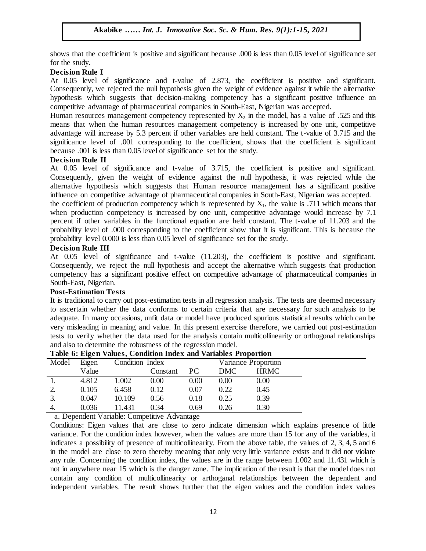shows that the coefficient is positive and significant because .000 is less than 0.05 level of significance set for the study.  $\mathcal{L}$  study.

#### **Decision Rule I**

At 0.05 level of significance and t-value of 2.873, the coefficient is positive and significant. Consequently, we rejected the null hypothesis given the weight of evidence against it while the alternative hypothesis which suggests that decision-making competency has a significant positive influence on competitive advantage of pharmaceutical companies in South-East, Nigerian was accepted.

Human resources management competency represented by  $X_2$  in the model, has a value of .525 and this means that when the human resources management competency is increased by one unit, competitive advantage will increase by 5.3 percent if other variables are held constant. The t-value of  $3.715$  and the significance level of .001 corresponding to the coefficient, shows that the coefficient is significant because .001 is less than 0.05 level of significance set for the study.

#### **Decision Rule II**

At  $0.05$  level of significance and t-value of  $3.715$ , the coefficient is positive and significant. Consequently, given the weight of evidence against the null hypothesis, it was rejected while the alternative hypothesis which suggests that Human resource management has a significant positive influence on competitive advantage of pharmaceutical companies in South-East, Nigerian was accepted.

the coefficient of production competency which is represented by  $X_1$ , the value is .711 which means that the coefficient of production competency which is represented by  $X_1$ , the value is .  $711$  which means that when production competency is increased by one unit, competitive advantage would increase by 7.1 percent if other variables in the functional equation are held constant. The t-value of 11.203 and the probability level of .000 corresponding to the coefficient show that it is significant. This is because the probability level  $0.000$  is less than  $0.05$  level of significance set for the study.

#### **Decision Rule III**

At 0.05 level of significance and t-value (11.203), the coefficient is positive and significant. Consequently, we reject the null hypothesis and accept the alternative which suggests that production competency has a significant positive effect on competitive advantage of pharmaceutical companies in South Feet Nicorion. South-East, Nigerian.

## **Post-Estimation Tests**

It is traditional to carry out post-estimation tests in all regression analysis. The tests are deemed necessary to ascertain whether the data conforms to certain criteria that are necessary for such analysis to be adequate. In many occasions, unfit data or model have produced spurious statistical results which can be very misleading in meaning and value. In this present exercise therefore, we carried out post-estimation tests to verify whether the data used for the analysis contain multicollinearity or orthogonal relationships and also to determine the robustness of the regression model.

|       | Tuble of Eigen values, condition much and valuables I reportion |                 |          |      |            |                            |  |  |
|-------|-----------------------------------------------------------------|-----------------|----------|------|------------|----------------------------|--|--|
| Model | Eigen                                                           | Condition Index |          |      |            | <b>Variance Proportion</b> |  |  |
|       | Value                                                           |                 | Constant | PC.  | <b>DMC</b> | <b>HRMC</b>                |  |  |
|       | 4.812                                                           | 1.002           | $0.00\,$ | 0.00 | $0.00\,$   | 0.00                       |  |  |
| 2.    | 0.105                                                           | 6.458           | 0.12     | 0.07 | 0.22       | 0.45                       |  |  |
| 3.    | 0.047                                                           | 10.109          | 0.56     | 0.18 | 0.25       | 0.39                       |  |  |
| 4.    | 0.036                                                           | 11.431          | 0.34     | 0.69 | 0.26       | 0.30                       |  |  |
|       |                                                                 |                 | .        |      |            |                            |  |  |

#### **Table 6: Eigen Values, Condition Index and Variables Proportion**

a. Dependent Variable: Competitive Advantage

Conditions: Eigen values that are close to zero indicate dimension which explains presence of little variance. For the condition index however, when the values are more than 15 for any of the variables, it indicates a possibility of presence of multicollinearity. From the above table, the values of 2, 3, 4, 5 and 6 in the model are close to zero thereby meaning that only very little variance exists and it did not violate any rule. Concerning the condition index, the values are in the range between 1.002 and 11.431 which is not in anywhere near 15 which is the danger zone. The implication of the result is that the model does not contain any condition of multicollinearity or arthoganal relationships between the dependent and independent variables. The result shows further that the eigen values and the condition index values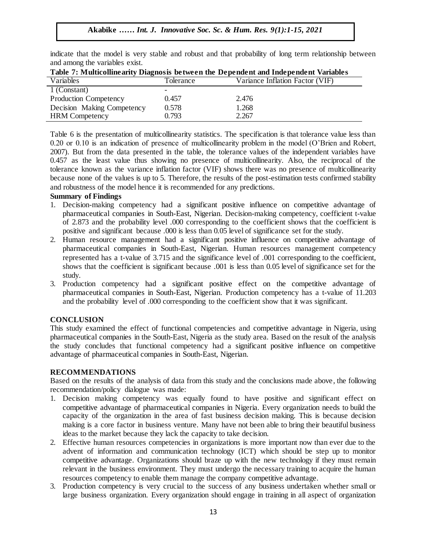indicate that the model is very stable and robust and that probability of long term relationship between and among the variables exist.

| Variables                    | Tolerance | Variance Inflation Factor (VIF) |
|------------------------------|-----------|---------------------------------|
| 1 (Constant)                 |           |                                 |
| <b>Production Competency</b> | 0.457     | 2.476                           |
| Decision Making Competency   | 0.578     | 1.268                           |
| <b>HRM</b> Competency        | 0.793     | 2.267                           |

| Table 7: Multicollinearity Diagnosis between the Dependent and Independent Variables |  |
|--------------------------------------------------------------------------------------|--|

Table 6 is the presentation of multicollinearity statistics. The specification is that tolerance value less than 0.20 or 0.10 is an indication of presence of multicollinearity problem in the model (O"Brien and Robert, 2007). But from the data presented in the table, the tolerance values of the independent variables have 0.457 as the least value thus showing no presence of multicollinearity. Also, the reciprocal of the tolerance known as the variance inflation factor (VIF) shows there was no presence of multicollinearity because none of the values is up to 5. Therefore, the results of the post-estimation tests confirmed stability and robustness of the model hence it is recommended for any predictions.

## **Summary of Findings**

- 1. Decision-making competency had a significant positive influence on competitive advantage of pharmaceutical companies in South-East, Nigerian. Decision-making competency, coefficient t-value of 2.873 and the probability level .000 corresponding to the coefficient shows that the coefficient is positive and significant because .000 is less than 0.05 level of significance set for the study.
- 2. Human resource management had a significant positive influence on competitive advantage of pharmaceutical companies in South-East, Nigerian. Human resources management competency represented has a t-value of 3.715 and the significance level of .001 corresponding to the coefficient, shows that the coefficient is significant because .001 is less than 0.05 level of significance set for the study.
- study.<br>3. Production competency had a significant positive effect on the competitive advantage of pharmaceutical companies in South-East, Nigerian. Production competency has a t-value of 11.203 and the probability level of .000 corresponding to the coefficient show that it was significant.

## **CONCLUSION**

This study examined the effect of functional competencies and competitive advantage in Nigeria, using pharmaceutical companies in the South-East, Nigeria as the study area. Based on the result of the analysis the study concludes that functional competency had a significant positive influence on competitive advantage of pharmaceutical companies in South-East, Nigerian.

## **RECOMMENDATIONS**

Based on the results of the analysis of data from this study and the conclusions made above, the following recommendation/policy dialogue was made:

- 1. Decision making competency was equally found to have positive and significant effect on competitive advantage of pharmaceutical companies in Nigeria. Every organization needs to build the capacity of the organization in the area of fast business decision making. This is because decision making is a core factor in business venture. Many have not been able to bring their beautiful business ideas to the market because they lack the capacity to take decision.
- 2. Effective human resources competencies in organizations is more important now than ever due to the advent of information and communication technology (ICT) which should be step up to monitor competitive advantage. Organizations should braze up with the new technology if they must remain relevant in the business environment. They must undergo the necessary training to acquire the human resources competency to enable them manage the company competitive advantage.
- 3. Production competency is very crucial to the success of any business undertaken whether small or large business organization. Every organization should engage in training in all aspect of organization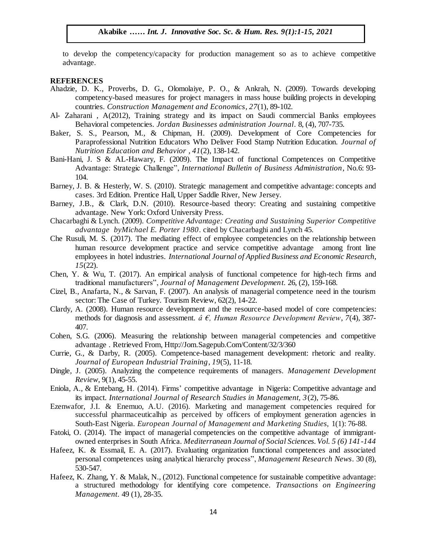to develop the competency/capacity for production management so as to achieve competitive advantage.  $\alpha$  and  $\beta$ .

#### **REFERENCES**

- Ahadzie, D. K., Proverbs, D. G., Olomolaiye, P. O., & Ankrah, N. (2009). Towards developing competency-based measures for project managers in mass house building projects in developing competency based measures for project managers in mass house bands<br>countries. Construction Management and Economics, 27(1), 89-102.
- Al- Zaharani , A(2012), Training strategy and its impact on Saudi commercial Banks employees Behavioral competencies. *Jordan Businesses administration Journal*. 8, (4), 707-735.
- Baker, S. S., Pearson, M., & Chipman, H. (2009). Development of Core Competencies for Paraprofessional Nutrition Educators Who Deliver Food Stamp Nutrition Education. *Journal of* Paraprofessional Nutrition Educators Who Deliver Food Stamp Nutrition Education. *Journal of Nutrition Education and Behavior* , *41*(2), 138-142.
- Bani-Hani, J. S & AL-Hawary, F. (2009). The Impact of functional Competences on Competitive Advantage: Strategic Challenge", *International Bulletin of Business Administration*, No.6: 93- 104. Arunage. Sauce Soc. Chance Soc. Anno National Bancal of Basacess A.
- Barney, J. B. & Hesterly, W. S. (2010). Strategic management and competitive advantage: concepts and cases. 3rd Edition. Prentice Hall, Upper Saddle River, New Jersey.
- Barney, J.B., & Clark, D.N. (2010). Resource-based theory: Creating and sustaining competitive advantage. New York: Oxford University Press.
- Chacarbaghi & Lynch. (2009). *Competitive Advantage: Creating and Sustaining Superior Competitive advantage byMichael E. Porter 1980*. cited by Chacarbaghi and Lynch 45.
- Che Rusuli, M. S. (2017). The mediating effect of employee competencies on the relationship between human resource development practice and service competitive advantage among front line human resource development practice and service competitive advantage employees in hotel industries. *International Journal of Applied Business and Economic Research*, *15*(22).
- Chen, Y. & Wu, T. (2017). An empirical analysis of functional competence for high-tech firms and traditional manufacturers", *Journal of Management Development*. 26, (2), 159-168.
- Cizel, B., Anafarta, N., & Sarvan, F. (2007). An analysis of managerial competence need in the tourism sector: The Case of Turkey. Tourism Review, 62(2), 14-22.
- Clardy, A. (2008). Human resource development and the resource-based model of core competencies: methods for diagnosis and assessment. *â €, Human Resource Development Review*, *7*(4), 387- 407.
- Cohen, S.G. (2006). Measuring the relationship between managerial competencies and competitive advantage . Retrieved From, Http://Jom.Sagepub.Com/Content/32/3/360
- Currie, G., & Darby, R. (2005). Competence-based management development: rhetoric and reality. *Journal of European Industrial Training*, *19*(5), 11-18.
- Dingle, J. (2005). Analyzing the competence requirements of managers. *Management Development Review*, 9(1), 45-55.
- Eniola, A., & Entebang, H. (2014). Firms" competitive advantage in Nigeria: Competitive advantage and its impact*. International Journal of Research Studies in Management, 3*(2), 75-86.
- Ezenwafor, J.I. & Enemuo, A.U. (2016). Marketing and management competencies required for successful pharmaceuticalhip as perceived by officers of employment generation agencies in South-East Nigeria. *European Journal of Management and Marketing Studies,* 1(1): 76-88.
- Fatoki, O. (2014). The impact of managerial competencies on the competitive advantage of immigrantowned enterprises in South Africa. *Mediterranean Journal of Social Sciences. Vol. 5 (6) 141-144*
- Hafeez, K. & Essmail, E. A. (2017). Evaluating organization functional competences and associated personal competences using analytical hierarchy process", *Management Research News*. 30 (8), 530-547.
- Hafeez, K. Zhang, Y. & Malak, N., (2012). Functional competence for sustainable competitive advantage: a structured methodology for identifying core competence. *Transactions on Engineering Management*. 49 (1), 28-35.